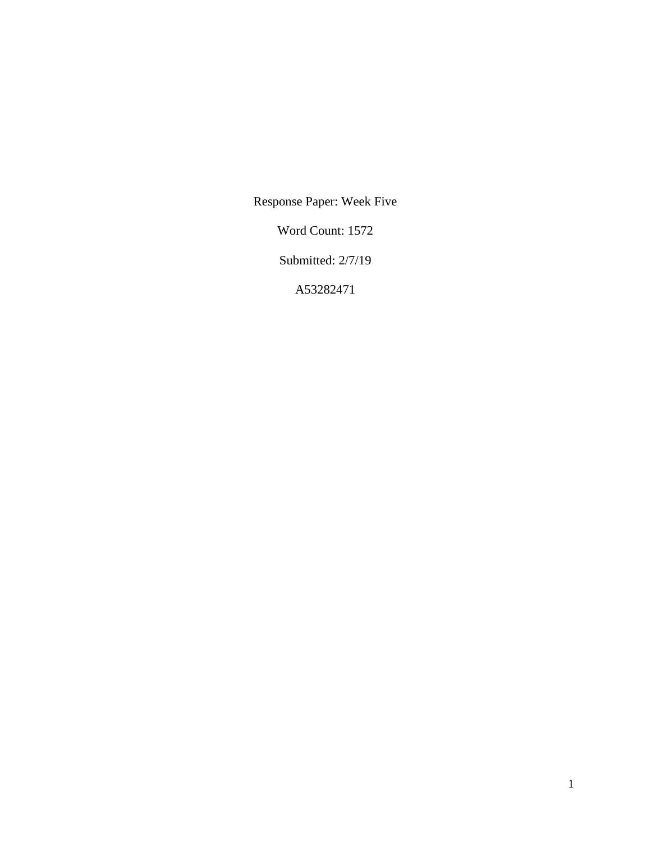Response Paper: Week Five

Word Count: 1572

Submitted: 2/7/19

A53282471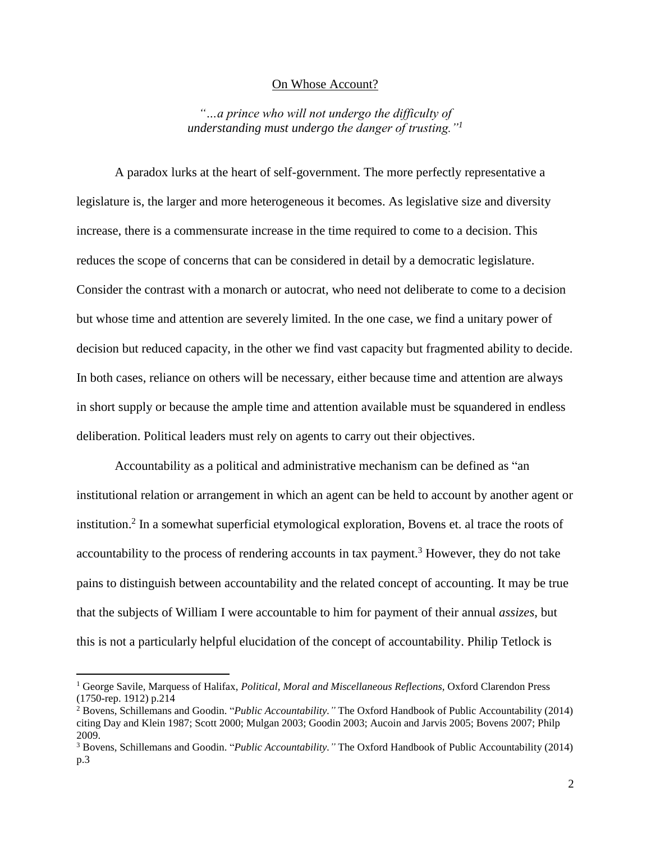## On Whose Account?

*"…a prince who will not undergo the difficulty of understanding must undergo the danger of trusting."<sup>1</sup>*

A paradox lurks at the heart of self-government. The more perfectly representative a legislature is, the larger and more heterogeneous it becomes. As legislative size and diversity increase, there is a commensurate increase in the time required to come to a decision. This reduces the scope of concerns that can be considered in detail by a democratic legislature. Consider the contrast with a monarch or autocrat, who need not deliberate to come to a decision but whose time and attention are severely limited. In the one case, we find a unitary power of decision but reduced capacity, in the other we find vast capacity but fragmented ability to decide. In both cases, reliance on others will be necessary, either because time and attention are always in short supply or because the ample time and attention available must be squandered in endless deliberation. Political leaders must rely on agents to carry out their objectives.

Accountability as a political and administrative mechanism can be defined as "an institutional relation or arrangement in which an agent can be held to account by another agent or institution. 2 In a somewhat superficial etymological exploration, Bovens et. al trace the roots of accountability to the process of rendering accounts in tax payment.<sup>3</sup> However, they do not take pains to distinguish between accountability and the related concept of accounting. It may be true that the subjects of William I were accountable to him for payment of their annual *assizes*, but this is not a particularly helpful elucidation of the concept of accountability. Philip Tetlock is

 $\overline{\phantom{a}}$ 

<sup>1</sup> George Savile, Marquess of Halifax, *Political, Moral and Miscellaneous Reflections,* Oxford Clarendon Press (1750-rep. 1912) p.214

<sup>2</sup> Bovens, Schillemans and Goodin. "*Public Accountability."* The Oxford Handbook of Public Accountability (2014) citing Day and Klein 1987; Scott 2000; Mulgan 2003; Goodin 2003; Aucoin and Jarvis 2005; Bovens 2007; Philp 2009.

<sup>3</sup> Bovens, Schillemans and Goodin. "*Public Accountability."* The Oxford Handbook of Public Accountability (2014) p.3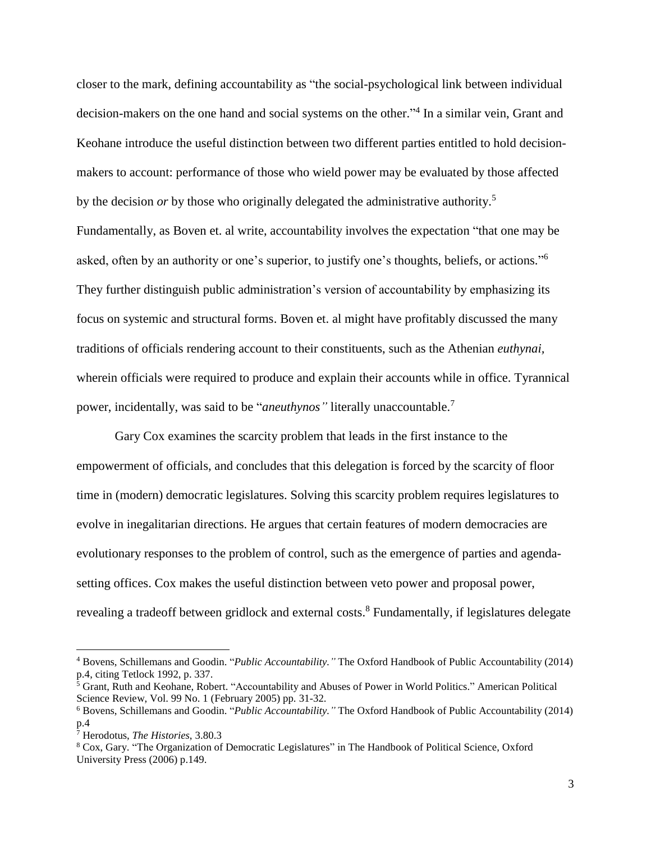closer to the mark, defining accountability as "the social-psychological link between individual decision-makers on the one hand and social systems on the other." 4 In a similar vein, Grant and Keohane introduce the useful distinction between two different parties entitled to hold decisionmakers to account: performance of those who wield power may be evaluated by those affected by the decision *or* by those who originally delegated the administrative authority.<sup>5</sup> Fundamentally, as Boven et. al write, accountability involves the expectation "that one may be asked, often by an authority or one's superior, to justify one's thoughts, beliefs, or actions."<sup>6</sup> They further distinguish public administration's version of accountability by emphasizing its focus on systemic and structural forms. Boven et. al might have profitably discussed the many traditions of officials rendering account to their constituents, such as the Athenian *euthynai,* wherein officials were required to produce and explain their accounts while in office. Tyrannical power, incidentally, was said to be "*aneuthynos"* literally unaccountable.<sup>7</sup>

Gary Cox examines the scarcity problem that leads in the first instance to the empowerment of officials, and concludes that this delegation is forced by the scarcity of floor time in (modern) democratic legislatures. Solving this scarcity problem requires legislatures to evolve in inegalitarian directions. He argues that certain features of modern democracies are evolutionary responses to the problem of control, such as the emergence of parties and agendasetting offices. Cox makes the useful distinction between veto power and proposal power, revealing a tradeoff between gridlock and external costs.<sup>8</sup> Fundamentally, if legislatures delegate

 $\overline{\phantom{a}}$ 

<sup>4</sup> Bovens, Schillemans and Goodin. "*Public Accountability."* The Oxford Handbook of Public Accountability (2014) p.4, citing Tetlock 1992, p. 337.

<sup>&</sup>lt;sup>5</sup> Grant, Ruth and Keohane, Robert. "Accountability and Abuses of Power in World Politics." American Political Science Review, Vol. 99 No. 1 (February 2005) pp. 31-32.

<sup>6</sup> Bovens, Schillemans and Goodin. "*Public Accountability."* The Oxford Handbook of Public Accountability (2014) p.4

<sup>7</sup> Herodotus, *The Histories*, 3.80.3

<sup>8</sup> Cox, Gary. "The Organization of Democratic Legislatures" in The Handbook of Political Science, Oxford University Press (2006) p.149.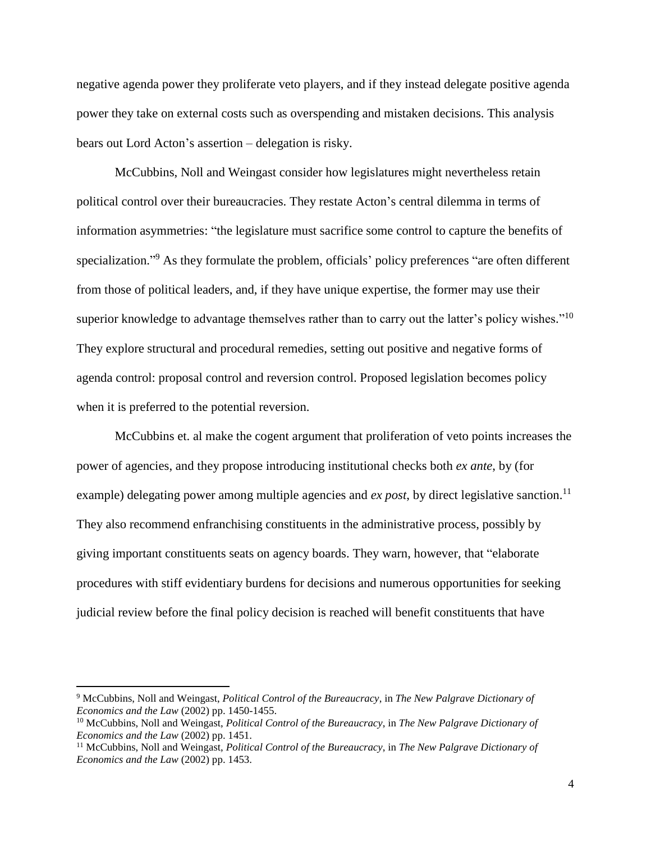negative agenda power they proliferate veto players, and if they instead delegate positive agenda power they take on external costs such as overspending and mistaken decisions. This analysis bears out Lord Acton's assertion – delegation is risky.

McCubbins, Noll and Weingast consider how legislatures might nevertheless retain political control over their bureaucracies. They restate Acton's central dilemma in terms of information asymmetries: "the legislature must sacrifice some control to capture the benefits of specialization."<sup>9</sup> As they formulate the problem, officials' policy preferences "are often different from those of political leaders, and, if they have unique expertise, the former may use their superior knowledge to advantage themselves rather than to carry out the latter's policy wishes."<sup>10</sup> They explore structural and procedural remedies, setting out positive and negative forms of agenda control: proposal control and reversion control. Proposed legislation becomes policy when it is preferred to the potential reversion.

McCubbins et. al make the cogent argument that proliferation of veto points increases the power of agencies, and they propose introducing institutional checks both *ex ante*, by (for example) delegating power among multiple agencies and  $ex$  *post*, by direct legislative sanction.<sup>11</sup> They also recommend enfranchising constituents in the administrative process, possibly by giving important constituents seats on agency boards. They warn, however, that "elaborate procedures with stiff evidentiary burdens for decisions and numerous opportunities for seeking judicial review before the final policy decision is reached will benefit constituents that have

 $\overline{\phantom{a}}$ 

<sup>9</sup> McCubbins, Noll and Weingast, *Political Control of the Bureaucracy*, in *The New Palgrave Dictionary of Economics and the Law* (2002) pp. 1450-1455.

<sup>10</sup> McCubbins, Noll and Weingast, *Political Control of the Bureaucracy*, in *The New Palgrave Dictionary of Economics and the Law* (2002) pp. 1451.

<sup>11</sup> McCubbins, Noll and Weingast, *Political Control of the Bureaucracy*, in *The New Palgrave Dictionary of Economics and the Law* (2002) pp. 1453.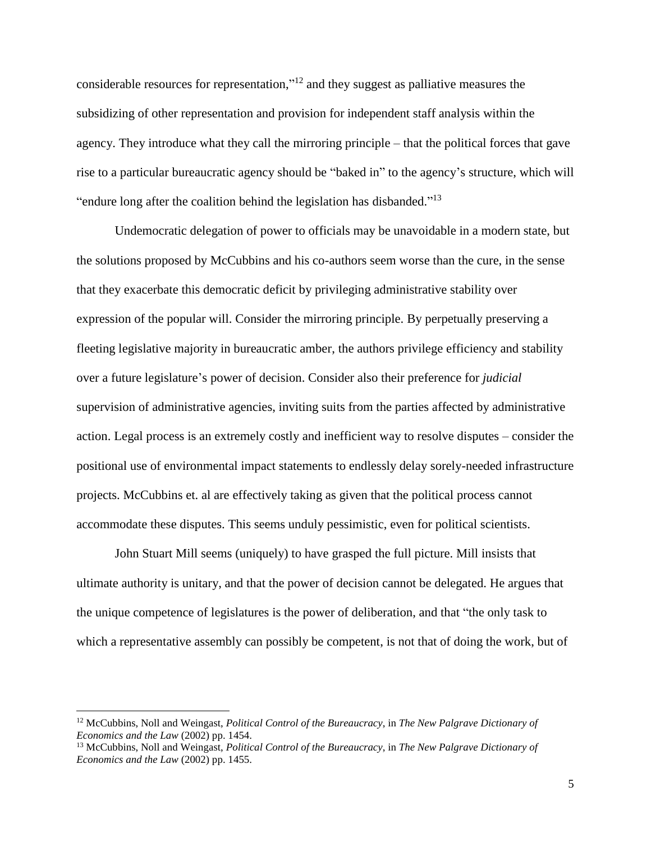considerable resources for representation," <sup>12</sup> and they suggest as palliative measures the subsidizing of other representation and provision for independent staff analysis within the agency. They introduce what they call the mirroring principle – that the political forces that gave rise to a particular bureaucratic agency should be "baked in" to the agency's structure, which will "endure long after the coalition behind the legislation has disbanded."<sup>13</sup>

Undemocratic delegation of power to officials may be unavoidable in a modern state, but the solutions proposed by McCubbins and his co-authors seem worse than the cure, in the sense that they exacerbate this democratic deficit by privileging administrative stability over expression of the popular will. Consider the mirroring principle. By perpetually preserving a fleeting legislative majority in bureaucratic amber, the authors privilege efficiency and stability over a future legislature's power of decision. Consider also their preference for *judicial*  supervision of administrative agencies, inviting suits from the parties affected by administrative action. Legal process is an extremely costly and inefficient way to resolve disputes – consider the positional use of environmental impact statements to endlessly delay sorely-needed infrastructure projects. McCubbins et. al are effectively taking as given that the political process cannot accommodate these disputes. This seems unduly pessimistic, even for political scientists.

John Stuart Mill seems (uniquely) to have grasped the full picture. Mill insists that ultimate authority is unitary, and that the power of decision cannot be delegated. He argues that the unique competence of legislatures is the power of deliberation, and that "the only task to which a representative assembly can possibly be competent, is not that of doing the work, but of

 $\overline{a}$ 

<sup>12</sup> McCubbins, Noll and Weingast, *Political Control of the Bureaucracy*, in *The New Palgrave Dictionary of Economics and the Law* (2002) pp. 1454.

<sup>13</sup> McCubbins, Noll and Weingast, *Political Control of the Bureaucracy*, in *The New Palgrave Dictionary of Economics and the Law* (2002) pp. 1455.